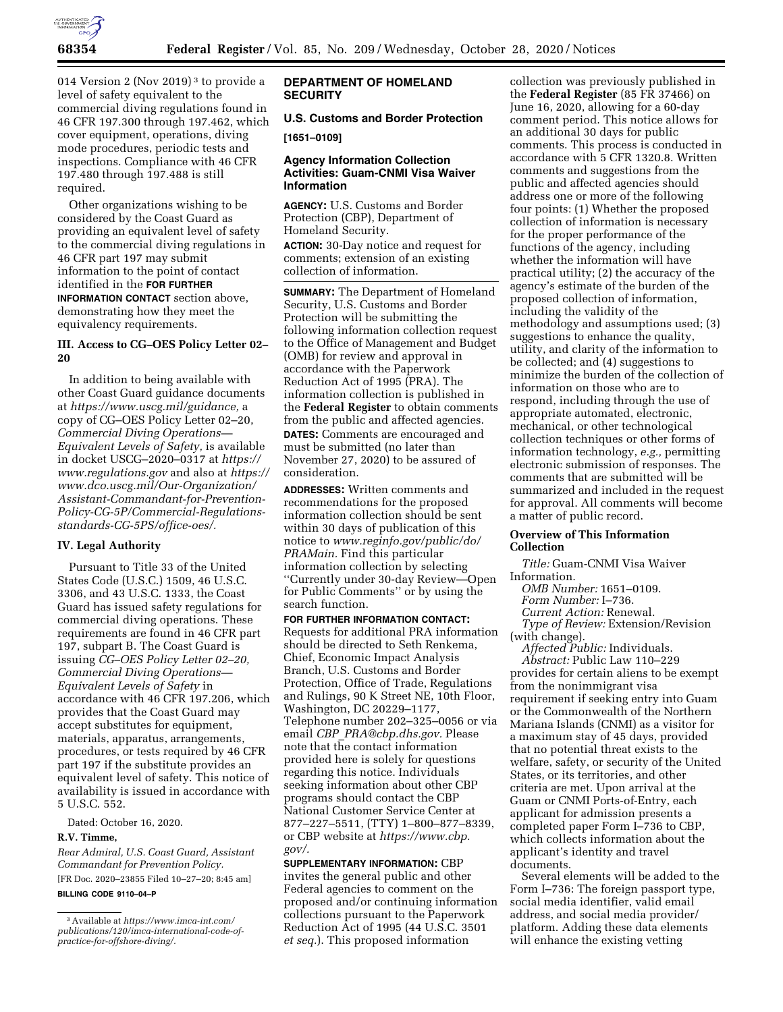

014 Version 2 (Nov 2019) 3 to provide a level of safety equivalent to the commercial diving regulations found in 46 CFR 197.300 through 197.462, which cover equipment, operations, diving mode procedures, periodic tests and inspections. Compliance with 46 CFR 197.480 through 197.488 is still required.

Other organizations wishing to be considered by the Coast Guard as providing an equivalent level of safety to the commercial diving regulations in 46 CFR part 197 may submit information to the point of contact identified in the **FOR FURTHER INFORMATION CONTACT** section above, demonstrating how they meet the equivalency requirements.

## **III. Access to CG–OES Policy Letter 02– 20**

In addition to being available with other Coast Guard guidance documents at *[https://www.uscg.mil/guidance,](https://www.uscg.mil/guidance)* a copy of CG–OES Policy Letter 02–20, *Commercial Diving Operations— Equivalent Levels of Safety,* is available in docket USCG–2020–0317 at *[https://](https://www.regulations.gov) [www.regulations.gov](https://www.regulations.gov)* and also at *[https://](https://www.dco.uscg.mil/Our-Organization/Assistant-Commandant-for-Prevention-Policy-CG-5P/Commercial-Regulations-standards-CG-5PS/office-oes/)  [www.dco.uscg.mil/Our-Organization/](https://www.dco.uscg.mil/Our-Organization/Assistant-Commandant-for-Prevention-Policy-CG-5P/Commercial-Regulations-standards-CG-5PS/office-oes/) [Assistant-Commandant-for-Prevention-](https://www.dco.uscg.mil/Our-Organization/Assistant-Commandant-for-Prevention-Policy-CG-5P/Commercial-Regulations-standards-CG-5PS/office-oes/)[Policy-CG-5P/Commercial-Regulations](https://www.dco.uscg.mil/Our-Organization/Assistant-Commandant-for-Prevention-Policy-CG-5P/Commercial-Regulations-standards-CG-5PS/office-oes/)[standards-CG-5PS/office-oes/.](https://www.dco.uscg.mil/Our-Organization/Assistant-Commandant-for-Prevention-Policy-CG-5P/Commercial-Regulations-standards-CG-5PS/office-oes/)* 

## **IV. Legal Authority**

Pursuant to Title 33 of the United States Code (U.S.C.) 1509, 46 U.S.C. 3306, and 43 U.S.C. 1333, the Coast Guard has issued safety regulations for commercial diving operations. These requirements are found in 46 CFR part 197, subpart B. The Coast Guard is issuing *CG–OES Policy Letter 02–20, Commercial Diving Operations— Equivalent Levels of Safety* in accordance with 46 CFR 197.206, which provides that the Coast Guard may accept substitutes for equipment, materials, apparatus, arrangements, procedures, or tests required by 46 CFR part 197 if the substitute provides an equivalent level of safety. This notice of availability is issued in accordance with 5 U.S.C. 552.

Dated: October 16, 2020.

#### **R.V. Timme,**

*Rear Admiral, U.S. Coast Guard, Assistant Commandant for Prevention Policy.*  [FR Doc. 2020–23855 Filed 10–27–20; 8:45 am]

**BILLING CODE 9110–04–P** 

## **DEPARTMENT OF HOMELAND SECURITY**

# **U.S. Customs and Border Protection [1651–0109]**

## **Agency Information Collection Activities: Guam-CNMI Visa Waiver Information**

**AGENCY:** U.S. Customs and Border Protection (CBP), Department of Homeland Security.

**ACTION:** 30-Day notice and request for comments; extension of an existing collection of information.

**SUMMARY:** The Department of Homeland Security, U.S. Customs and Border Protection will be submitting the following information collection request to the Office of Management and Budget (OMB) for review and approval in accordance with the Paperwork Reduction Act of 1995 (PRA). The information collection is published in the **Federal Register** to obtain comments from the public and affected agencies. **DATES:** Comments are encouraged and must be submitted (no later than November 27, 2020) to be assured of consideration.

**ADDRESSES:** Written comments and recommendations for the proposed information collection should be sent within 30 days of publication of this notice to *[www.reginfo.gov/public/do/](http://www.reginfo.gov/public/do/PRAMain) [PRAMain.](http://www.reginfo.gov/public/do/PRAMain)* Find this particular information collection by selecting ''Currently under 30-day Review—Open for Public Comments'' or by using the search function.

**FOR FURTHER INFORMATION CONTACT:**  Requests for additional PRA information should be directed to Seth Renkema, Chief, Economic Impact Analysis Branch, U.S. Customs and Border Protection, Office of Trade, Regulations and Rulings, 90 K Street NE, 10th Floor, Washington, DC 20229–1177, Telephone number 202–325–0056 or via email *CBP*\_*[PRA@cbp.dhs.gov.](mailto:CBP_PRA@cbp.dhs.gov)* Please note that the contact information provided here is solely for questions regarding this notice. Individuals seeking information about other CBP programs should contact the CBP National Customer Service Center at 877–227–5511, (TTY) 1–800–877–8339, or CBP website at *[https://www.cbp.](https://www.cbp.gov/) [gov/.](https://www.cbp.gov/)* 

**SUPPLEMENTARY INFORMATION:** CBP invites the general public and other Federal agencies to comment on the proposed and/or continuing information collections pursuant to the Paperwork Reduction Act of 1995 (44 U.S.C. 3501 *et seq.*). This proposed information

collection was previously published in the **Federal Register** (85 FR 37466) on June 16, 2020, allowing for a 60-day comment period. This notice allows for an additional 30 days for public comments. This process is conducted in accordance with 5 CFR 1320.8. Written comments and suggestions from the public and affected agencies should address one or more of the following four points: (1) Whether the proposed collection of information is necessary for the proper performance of the functions of the agency, including whether the information will have practical utility; (2) the accuracy of the agency's estimate of the burden of the proposed collection of information, including the validity of the methodology and assumptions used; (3) suggestions to enhance the quality, utility, and clarity of the information to be collected; and (4) suggestions to minimize the burden of the collection of information on those who are to respond, including through the use of appropriate automated, electronic, mechanical, or other technological collection techniques or other forms of information technology, *e.g.,* permitting electronic submission of responses. The comments that are submitted will be summarized and included in the request for approval. All comments will become a matter of public record.

### **Overview of This Information Collection**

*Title:* Guam-CNMI Visa Waiver Information.

*OMB Number:* 1651–0109.

*Form Number:* I–736.

*Current Action:* Renewal.

*Type of Review:* Extension/Revision

(with change).

*Affected Public:* Individuals. *Abstract:* Public Law 110–229 provides for certain aliens to be exempt from the nonimmigrant visa requirement if seeking entry into Guam or the Commonwealth of the Northern Mariana Islands (CNMI) as a visitor for a maximum stay of 45 days, provided that no potential threat exists to the welfare, safety, or security of the United States, or its territories, and other criteria are met. Upon arrival at the Guam or CNMI Ports-of-Entry, each applicant for admission presents a completed paper Form I–736 to CBP, which collects information about the applicant's identity and travel documents.

Several elements will be added to the Form I–736: The foreign passport type, social media identifier, valid email address, and social media provider/ platform. Adding these data elements will enhance the existing vetting

<sup>3</sup>Available at *[https://www.imca-int.com/](https://www.imca-int.com/publications/120/imca-international-code-of-practice-for-offshore-diving/) [publications/120/imca-international-code-of](https://www.imca-int.com/publications/120/imca-international-code-of-practice-for-offshore-diving/)[practice-for-offshore-diving/.](https://www.imca-int.com/publications/120/imca-international-code-of-practice-for-offshore-diving/)*